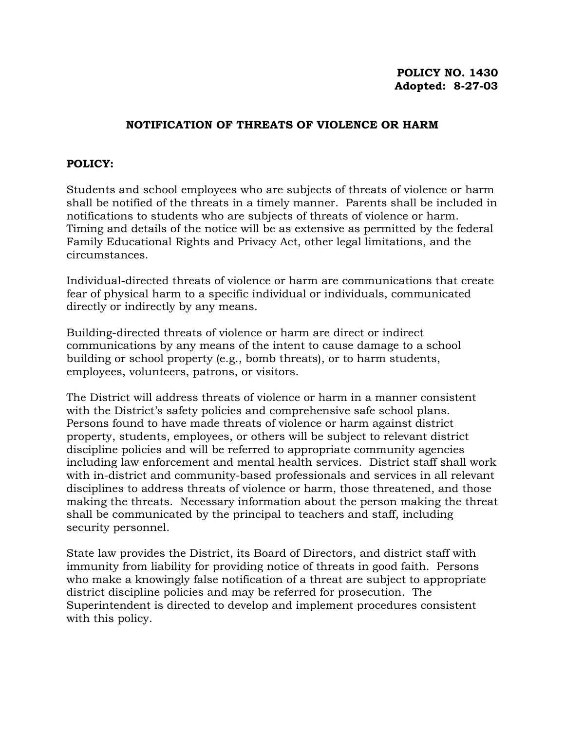# **POLICY NO. 1430 Adopted: 8-27-03**

## **NOTIFICATION OF THREATS OF VIOLENCE OR HARM**

#### **POLICY:**

Students and school employees who are subjects of threats of violence or harm shall be notified of the threats in a timely manner. Parents shall be included in notifications to students who are subjects of threats of violence or harm. Timing and details of the notice will be as extensive as permitted by the federal Family Educational Rights and Privacy Act, other legal limitations, and the circumstances.

Individual-directed threats of violence or harm are communications that create fear of physical harm to a specific individual or individuals, communicated directly or indirectly by any means.

Building-directed threats of violence or harm are direct or indirect communications by any means of the intent to cause damage to a school building or school property (e.g., bomb threats), or to harm students, employees, volunteers, patrons, or visitors.

The District will address threats of violence or harm in a manner consistent with the District's safety policies and comprehensive safe school plans. Persons found to have made threats of violence or harm against district property, students, employees, or others will be subject to relevant district discipline policies and will be referred to appropriate community agencies including law enforcement and mental health services. District staff shall work with in-district and community-based professionals and services in all relevant disciplines to address threats of violence or harm, those threatened, and those making the threats. Necessary information about the person making the threat shall be communicated by the principal to teachers and staff, including security personnel.

State law provides the District, its Board of Directors, and district staff with immunity from liability for providing notice of threats in good faith. Persons who make a knowingly false notification of a threat are subject to appropriate district discipline policies and may be referred for prosecution. The Superintendent is directed to develop and implement procedures consistent with this policy.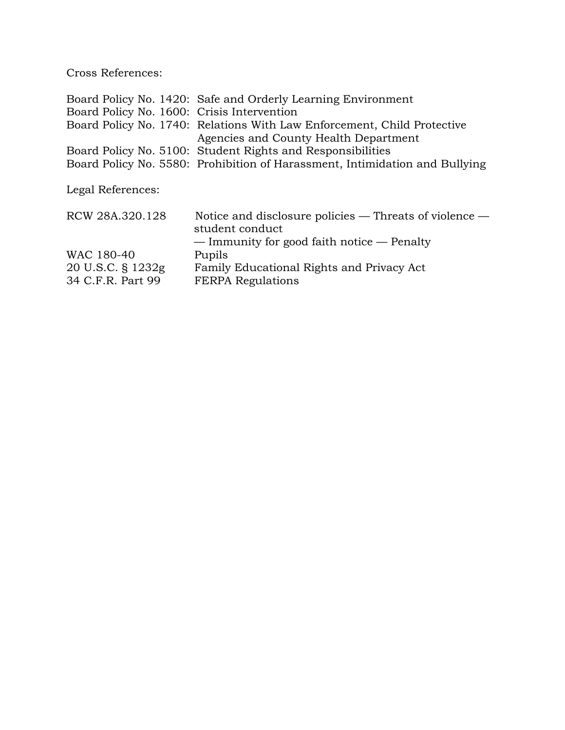Cross References:

|                                            | Board Policy No. 1420: Safe and Orderly Learning Environment                  |
|--------------------------------------------|-------------------------------------------------------------------------------|
| Board Policy No. 1600: Crisis Intervention |                                                                               |
|                                            | Board Policy No. 1740: Relations With Law Enforcement, Child Protective       |
|                                            | Agencies and County Health Department                                         |
|                                            | Board Policy No. 5100: Student Rights and Responsibilities                    |
|                                            | Board Policy No. 5580: Prohibition of Harassment, Intimidation and Bullying   |
| Legal References:                          |                                                                               |
| RCW 28A.320.128                            | Notice and disclosure policies $-$ Threats of violence $-$<br>student conduct |
|                                            | — Immunity for good faith notice — Penalty                                    |
| WAC 180-40                                 | Pupils                                                                        |
| 20 U.S.C. § 1232g                          | Family Educational Rights and Privacy Act                                     |

34 C.F.R. Part 99 FERPA Regulations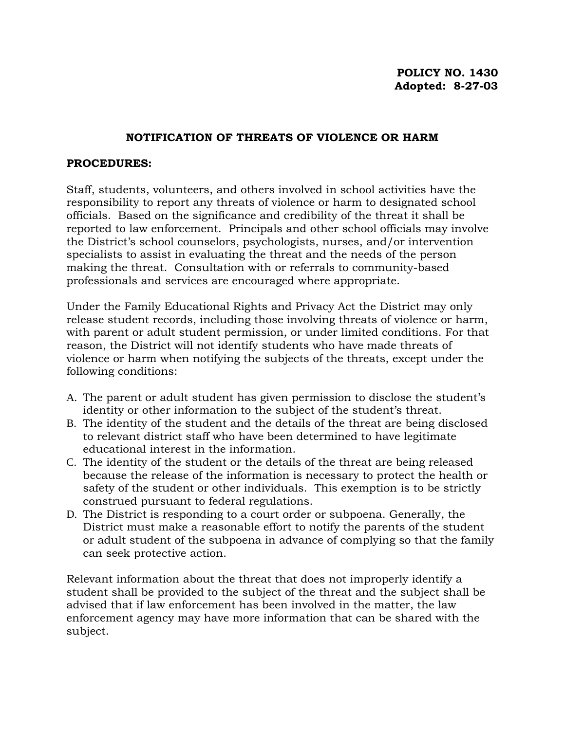# **NOTIFICATION OF THREATS OF VIOLENCE OR HARM**

## **PROCEDURES:**

Staff, students, volunteers, and others involved in school activities have the responsibility to report any threats of violence or harm to designated school officials. Based on the significance and credibility of the threat it shall be reported to law enforcement. Principals and other school officials may involve the District's school counselors, psychologists, nurses, and/or intervention specialists to assist in evaluating the threat and the needs of the person making the threat. Consultation with or referrals to community-based professionals and services are encouraged where appropriate.

Under the Family Educational Rights and Privacy Act the District may only release student records, including those involving threats of violence or harm, with parent or adult student permission, or under limited conditions. For that reason, the District will not identify students who have made threats of violence or harm when notifying the subjects of the threats, except under the following conditions:

- A. The parent or adult student has given permission to disclose the student's identity or other information to the subject of the student's threat.
- B. The identity of the student and the details of the threat are being disclosed to relevant district staff who have been determined to have legitimate educational interest in the information.
- C. The identity of the student or the details of the threat are being released because the release of the information is necessary to protect the health or safety of the student or other individuals. This exemption is to be strictly construed pursuant to federal regulations.
- D. The District is responding to a court order or subpoena. Generally, the District must make a reasonable effort to notify the parents of the student or adult student of the subpoena in advance of complying so that the family can seek protective action.

Relevant information about the threat that does not improperly identify a student shall be provided to the subject of the threat and the subject shall be advised that if law enforcement has been involved in the matter, the law enforcement agency may have more information that can be shared with the subject.